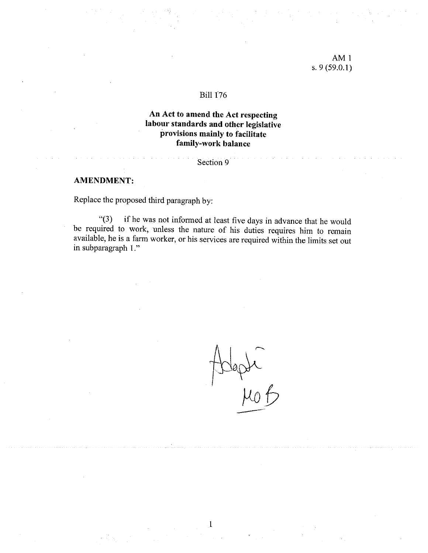## $AM<sub>1</sub>$ s. 9 (59.0.1)

#### Biil 176

# An Act to amend the Act respecting labour standards and other legislative provisions mainly to facilitate family-work balance

#### Section 9

#### AMENDMENT:

Replace the proposed third paragraph by:

"(3) if he was not informed at least five days in advance that he would be required to work, unless the nature of his duties requires him to remain available, he is <sup>a</sup> farm worker, or his services are required within the limits set out in subparagraph 1."

I

Dept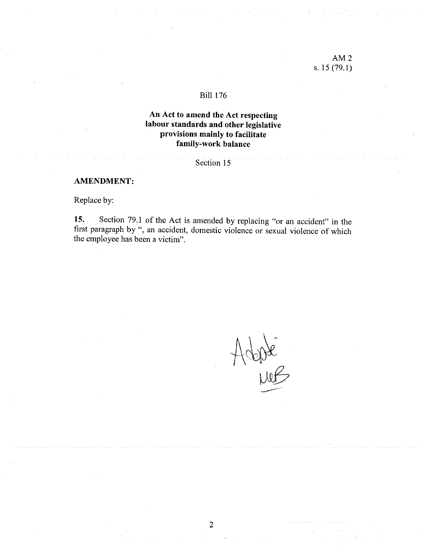## AM2 s. 15 (79.1)

#### **Bill 176**

# An Act to amend the Act respecting labour standards and other legislative provisions mainly to facilitate family-work balance

### Section 15

#### AMENDMENT:

Replace by:

15. Section 79.1 of the Act is amended by replacing "or an accident" in the first paragraph by", an accident, domestic violence or sexual violence of which the employee has been <sup>a</sup> victim".

Adopte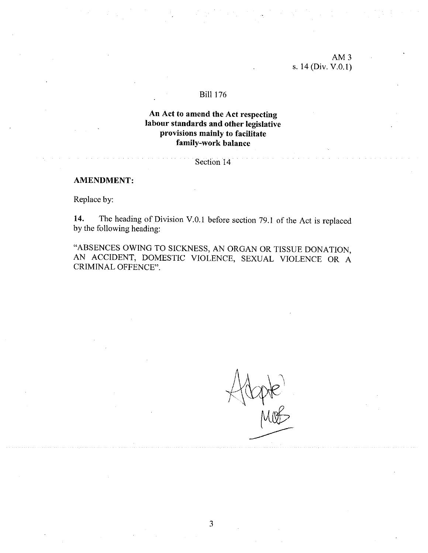## AM3 s. 14 (Div. V.O.I)

#### BilI 176

# An Act to amend the Act respecting labour standards and other legislative provisions mainly to facilitate faniily-work balance

Section 14

#### AMENDMENT:

Replace by:

14. The heading of Division V.0.1 before section 79.1 of the Act is replaced by the following heading:

"ABSENCES OWING TO SICKNESS, AN ORGAN OR TISSUE DONAT1ON, AN ACCIDENT, DOMESTIC VIOLENCE, SEXUAL VIOLENCE OR <sup>A</sup> CRIMINAL OFFENCE".

-N pre<br>Mot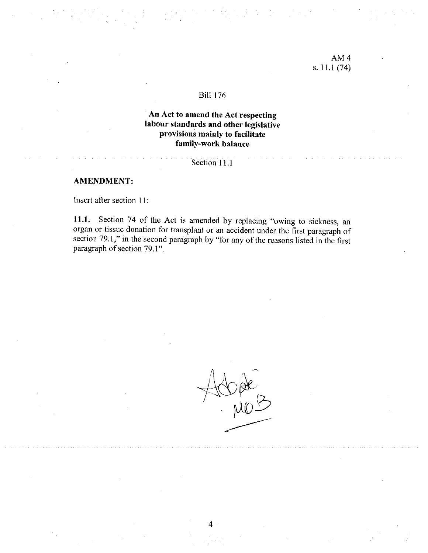## AM4 s. 11.1 (74)

#### Biil 176

## An Act to amend the Act respecting labour standards and other legislative provisions mainly to facilitate family-work balance

### Section 11.1

#### AMENDMENT:

Insert after section 11:

11.1. Section <sup>74</sup> of the Act is amended by replacing "owing to sickness, an organ or tissue donation for transplant or an accident under the first paragraph of section 79.1," in the second paragraph by "for any of the reasons listed in the first paragraph of section 79.1".

Kope<br>MOD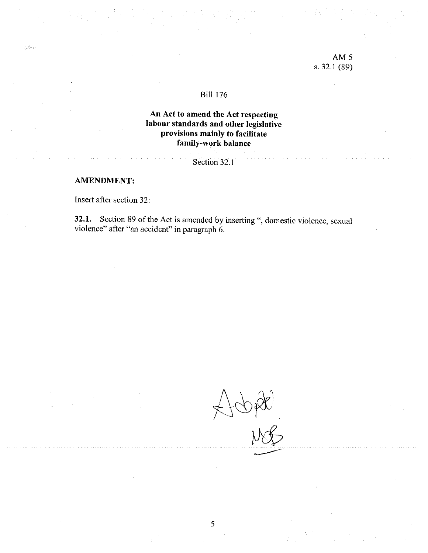### AM5 s. 32.1 (89)

#### BilI 176

# An Act to amend the Act respecting labour standards and other legislative provisions mainly to facilitate family-work balance

# Section 32.1

#### AMENDMENT:

 $\sim 10^{12}$ 

Insert afier section 32:

32.1. Section 89 of the Act is amended by inserting ", domestic violence, sexual violence" afler "an accident" in paragraph 6.

 $A\oplus R$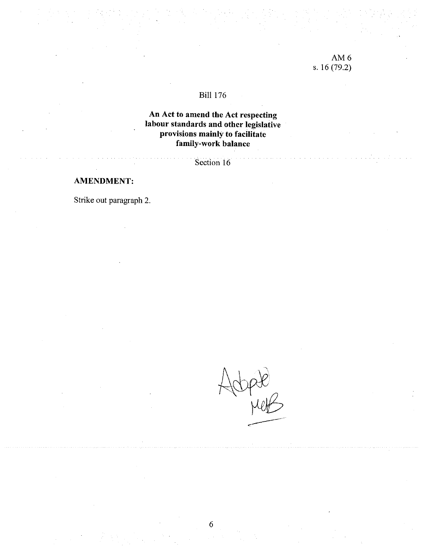# AM6 s. 16(79.2)

# BiIl 176

# An Act to amend the Act respecting labour standards and other legislative provisions mainly to facilitate family-work balance

Section 16

# AMENDMENT:

Strike out paragraph 2.

tope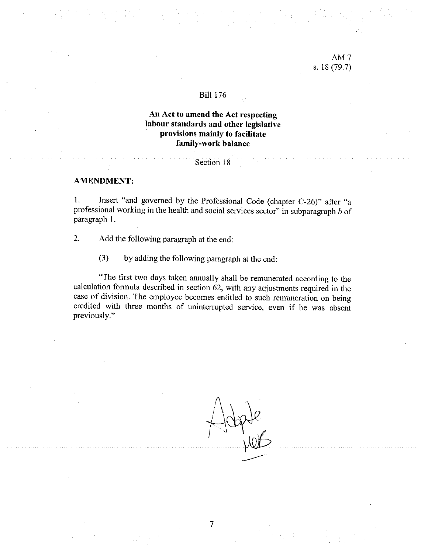### AM7 s. 18 (79.7)

#### BilI 176

# An Act to amend the Act respecting labour standards and other legislative provisions mainly to facilitate family-work balance

#### Section 18

#### AMENDMENT:

1. Insert "and governed by the Professional Code (chapter C-26)" after "a professional working in the health and social services sector" in subparagraph  $b$  of paragraph 1.

- 2. Add the following paragraph at the end:
	- (3) by adding the following paragraph at the end:

"The first two days taken annually shall be remunerated according to the calculation formula described in section 62, with any adjustments required in the case of division. The employee becomes entitled to such remuneration on being credited with three months of uninterrupted service, even if he was absent previously."

Pte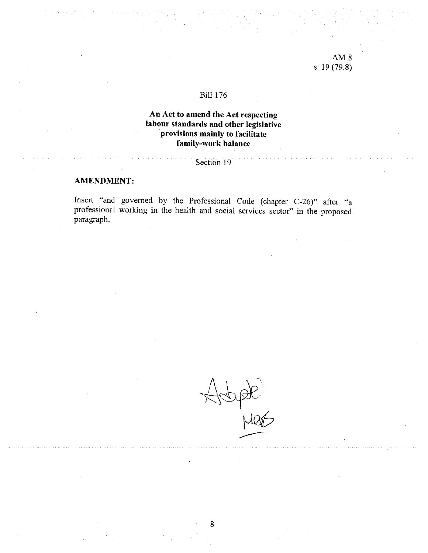#### Bili 176

# An Act to amend the Act respecting labour standards and other legislative provisions mainly to facilitate family-work balance

#### Section 19

# AMENDMENT:

Insert "and govemed by the Professional Code (chapter C-26)" afler "a professional working in the health and social services sector" in the proposed paragraph.

Noter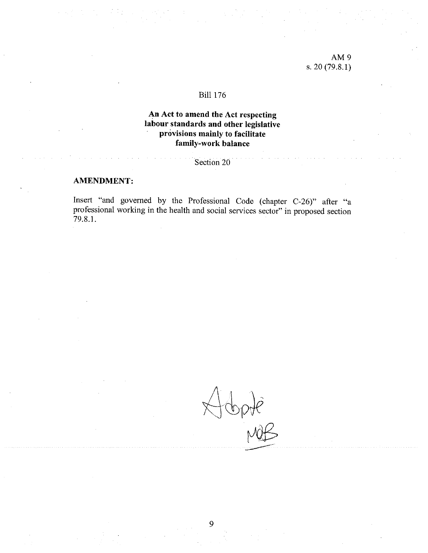## AM9 s. 20(79.8.1)

### **Bill 176**

# An Act to amend the Act respecting labour standards and other legislative provisions mainly to facilitate family-work balance

# Section 20

### AMENDMENT:

Insert "and governed by the Professional Code (chapter C-26)" after "a professional working in the health and social services sector" in proposed section 79.8.1.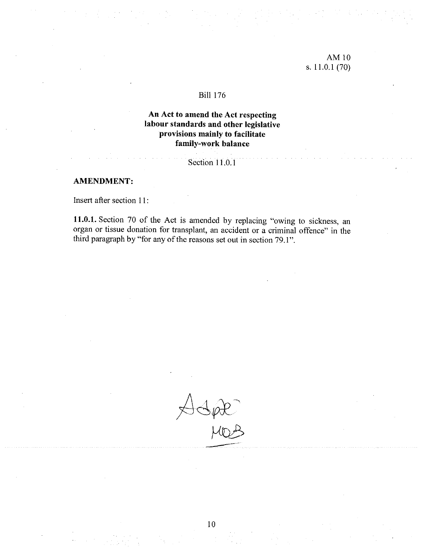# AMIO s. 11.0.1 (70)

#### BilI 176

# An Act to amend the Act respecting labour standards and other legislative provisions mainly to facilitate family-work balance

# Section 11.0.1

### **AMENDMENT:**

Insert afier section 11:

11.0.1. Section 70 of the Act is amended by replacing "owing to sickness, an organ or tissue donation for transplant, an accident or a criminal offence" in the third paragraph by "for any of the reasons set out in section 79.1".

 $\mathcal{S}\not\!\!\!\downarrow\mathcal{K}$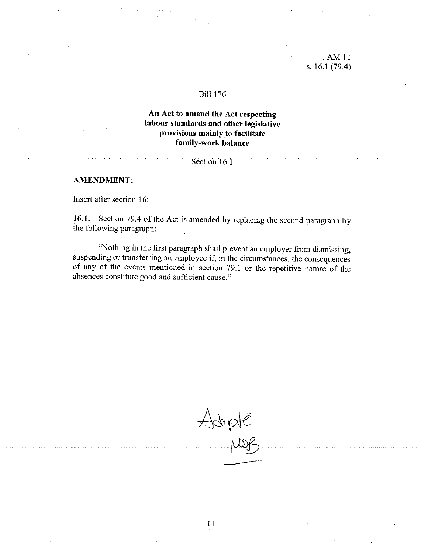#### • AM 11 s. 16.1 (79.4)

#### BilI 176

# An Act to amend the Act respecting labour standards and other legislative provisions mainly to facilitate family-work balance

#### Section 16.1

#### AMENDMENT:

Insert after section 16:

16.1. Section 79.4 of the Act is amended by replacing the second paragraph by the following paragraph:

"Nothing in the first paragraph shall prevent an employer from dismissing, suspending or transferring an employee if, in the circumstances, the consequences of any of the events mentioned in section 79.1 or the repetitive nature of the absences constitute good and sufficient cause."

 $A\phi$ pate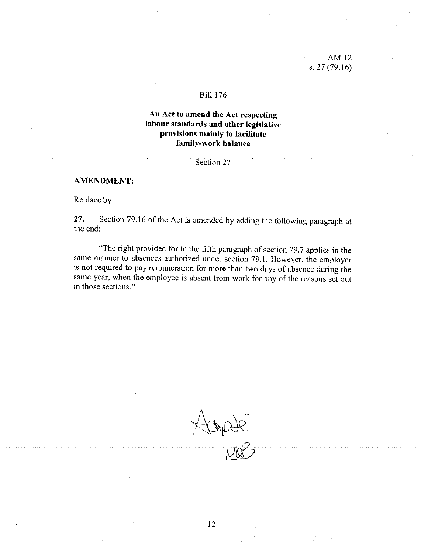#### BilI 176

# An Act to amend the Act respecting labour standards and other legislative provisions mainly to facilitate family-work balance

Section 27

### AMENDMENT:

Replace by:

27. Section 79.16 of the Act is amended by adding the following paragraph at the end:

"The right provided for in the fifih paragraph of section 79.7 applies in the same manner to absences authorized under section 79.1. However, the employer is not required to pay remuneration for more than two days of absence during the same year, when the employee is absent from work for any of the reasons set out in those sections."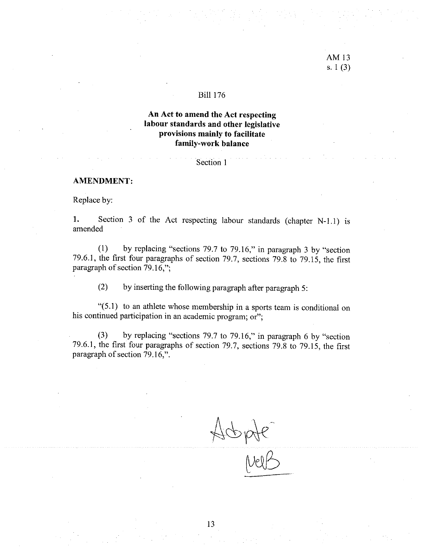# AM13 s. 1(3)

#### BilI 176

# An Act to amend the Aet respecting labour standards and other legislative provisions mainly to facilitate family-work balance

### Section 1

#### AMENOMENT:

Replace by:

1. Section 3 of the Act respecting labour standards (chapter N-1.1) is amended

(1) by replacing "sections 79.7 <sup>b</sup> 79.16," in paragraph <sup>3</sup> by "section 79.6.1, the first four paragraphs of section 79.7, sections 79.8 to 79.15, the first paragraph of section  $79.16$ ,";

(2) by inserting the following paragraph after paragraph 5:

"(5.1) to an athiete whose membership in <sup>a</sup> sports team is conditional on his continued participation in an academic program; or";

(3) by replacing "sections 79.7 to 79.16," in paragraph 6 by "section 79.6.1, the flrst four paragraphs of section 79.7, sections 79.8 to 79.15, the first paragraph of section  $79.16$ .".

Acopte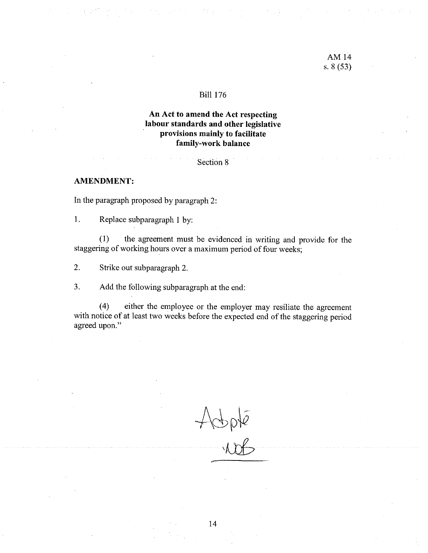#### BiIl 176

# An Act to amend the Act respecting labour standards and other legislative provisions mainly to facilitate family-work balance

#### Section 8

#### AMENDMENT:

In the paragraph proposed by paragraph 2:

1. Replace subparagraph <sup>I</sup> by:

(1) the agreement must be evidenced in writing and provide for the staggering of working hours over a maximum period of four weeks;

2. Strike out subparagraph 2.

3. Add the following subparagraph at the end:

(4) either the employee or the employer may resiliate the agreement with notice of at least two weeks before the expected end of the staggering period agreed upon."

Apple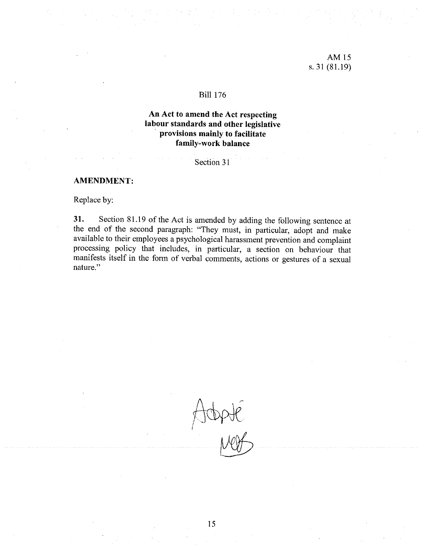## AM15 s. 31(81.19)

### BiIl 176

# An Act to amend the Act respecting labour standards and other legislative provisions mainly to facilitate family-work balance

## Section 31

### AMENDMENT:

Replace by:

31. Section 81.19 of the Act is amended by adding the following sentence at the end of the second paragraph: "They must, in particular, adopt and make available to their employees <sup>a</sup> psychological harassment prevention and complaint processing policy that includes, in particular, <sup>a</sup> section on behaviour that manifests itself in the form of verbal comments, actions or gestures of <sup>a</sup> sexual nature."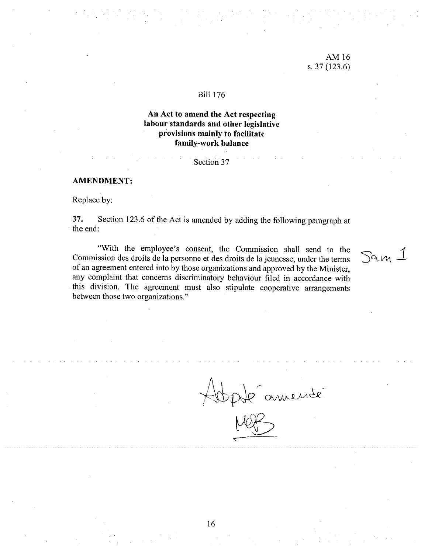### AMI6 s. 37(123.6)

#### Bili 176

# An Act to amend the Act respecting labour standards and other legislative provisions mainly to facilitate family-work balance

Section 37

#### AMENDMENT:

Replace by:

37. Section 123.6 of the Act is amended by adding the following paragraph at the end:

"With the employee's consent, the Commission shall send to the Commission des droits de la personne et des droits de la jeunesse, under the terms  $\int \alpha \nu_1$ of an agreement entered into by those organizations and approved by the Minister, any complaint that concerns discriminatory behaviour filed in accordance with this division. The agreement must also stipulate cooperative arrangements between those two organizations."

Happe amendé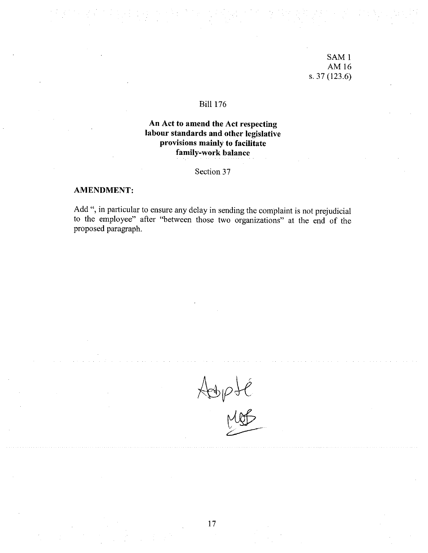# SAMI AM16 s. 37(123.6)

## BiIl 176

# An Act to amend the Act respecting labour standards and other legislative provisions mainly to facilitate family-work balance

Section 37

#### AMENDMENT:

Add ", in particular to ensure any delay in sending the complaint is not prejudicial to the employee" after "between those two organizations" at the end cf the proposed paragraph.

r P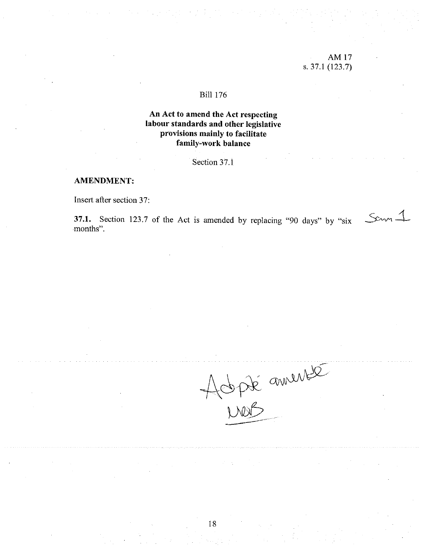# AM 17 s. 37.1 (123.7)

#### BiIl 176

# An Act to amend the Act respecting labour standards and other legislative provisions mainly to facilitate faniily-work balance

# Section 37.1

### AMENDMENT:

Insert after section 37:

37.1. Section 123.7 of the Act is amended by replacing "90 days" by "six  $\mathcal{S}^{\alpha}$ months".

Adpté annement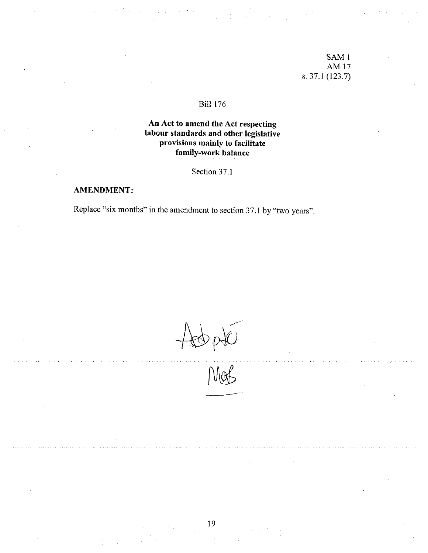# SAM <sup>1</sup> AM17 s. 37.1 (123.7)

# BiIl 176

# An Act to amend the Act respecting labour standards and other legislative provisions mainly to facilitate family-work balance

Section 37.1

# AMENDMENT:

Replace "six months" in the amendment to section 37.1 by "two years".

obpté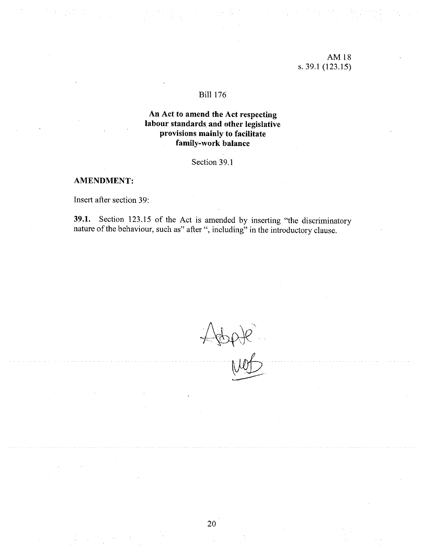### AM18 s. 39.1 (123.15)

#### BilI 176

# An Act to amend the Act respecting labour standards and other legislative provisions mainly to facilitate family-work balance

# Section 39.1

#### AMENDMENT:

Insert after section 39:

39.1. Section 123.15 cf the Act is amended by inserting "the discriminatory nature of the behaviour, such as" after ", including" in the introductory clause.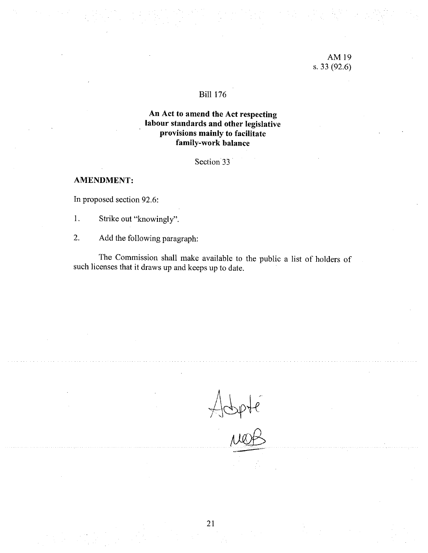## AM19 s. 33 (92.6)

## **Bill 176**

# An Act to amend the Act respecting labour standards and other legislative provisions mainly to facilitate family-work balance

Section 33

### AMENDMENT:

In proposed section 92.6:

1. Strike out "knowingly".

2. Add the following paragraph:

The Commission shall make available to the public a list of holders of such licenses that it draws up and keeps up to date.

Hobpte<br>aug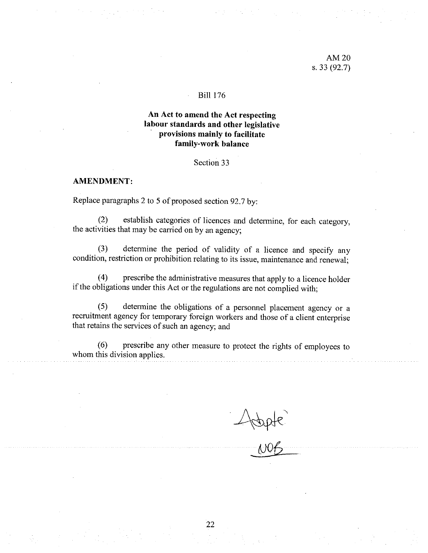### AM2O s. 33 (92.7)

#### Bili 176

## An Act to amend the Act respecting labour standards and other legislative provisions mainly to facilitate family-work balance

#### Section 33

#### AMENDMENT:

Replace paragraphs 2 to 5 of proposed section 92.7 by:

(2) establish categories of licences and determine, for each category, the activities that may be carried on by an agency;

(3) determine the period of validity of <sup>a</sup> licence and specify any condition, restriction or prohibition relating to its issue, maintenance and renewal;

(4) prescribe the administrative measures that apply to a licence holder if the obligations under this Act or the regulations are not complied with;

(5) determine the obligations of <sup>a</sup> personnel <sup>p</sup>lacement agency or <sup>a</sup> recruitment agency for temporary foreign workers and those of a client enterprise that retains the services of such an agency; and

(6) prescribe any other measure to protect the rights of employees to whom this division applies.

 $-$ 1008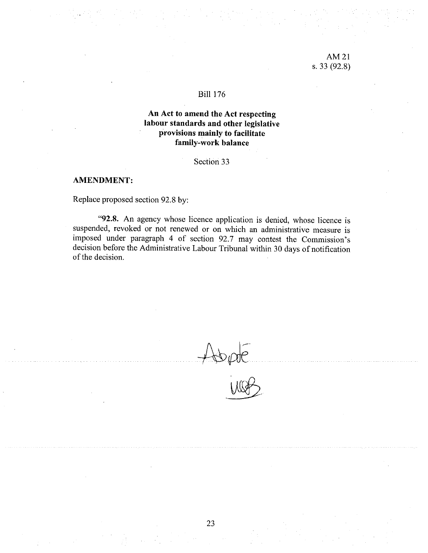### AM21 s. 33 (92.8)

## BilI 176

# An Act to amend the Act respeetiag labour standards and other legislative provisions mainly to facilitate family-work balance

Section 33

#### AMENDMENT:

Replace proposed section 92.8 by:

"92.8. An agency whose licence application is denied, whose licence is suspended, revoked or not renewed or on which an administrative measure is imposed under paragraph 4 of section 92.7 may contest the Commission's decision before the Administrative Labour Tribunal within 30 days of notification of the decision.

 $\frac{1}{2}$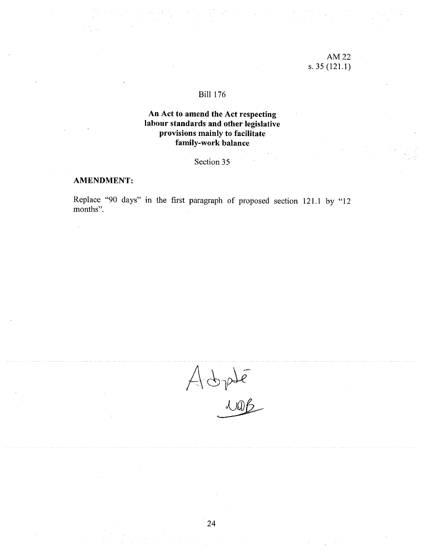# AM22 s. 35(121.1)

# BiIl 176

# An Act to amend the Act respecting labour standards and other legislative provisions mainly to facilitate family-work balance

# Section 35

### AMENDMENT:

Replace "90 days" in the first paragraph of proposed section 121.1 by "12 months".

Adplé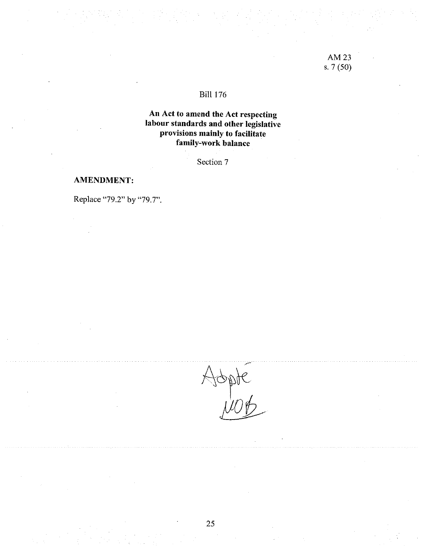# AM23 s. 7 (50)

# BiIl 176

# An Act to amend the Act respecting labour standards and other legislative provisions mainly to facilitate family-work balance

Section 7

#### AMENDMENT:

Replace "79.2" by "79.7".

Abpte<br>Anto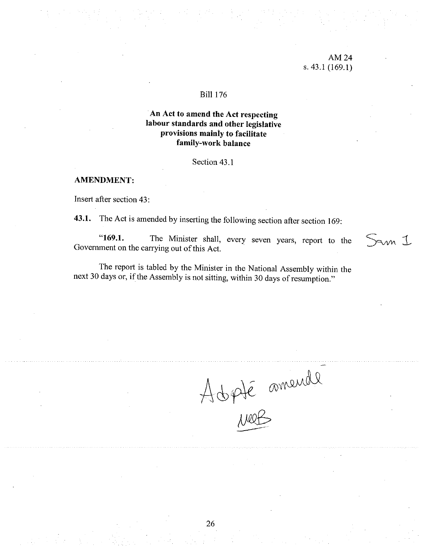### AM24 s. 43.1 (169.1)

Sam 1

#### BiIl 176

## An Act to amend the Act respecting labour standards and other legislative provisions mainly to facilitate family-work balance

#### Section 43.1

#### AMENDMENT:

Insert after section 43:

43.1. The Act is amended by inserting the following section afier section 169:

"169.1. The Minister shall, every seven years, report to the Government on the carrying out of this Act.

The report is tabled by the Minister in the National Assembly within the next 30 days or, if the Assembly is not sitting, within 30 days of resumption."

Adpté amende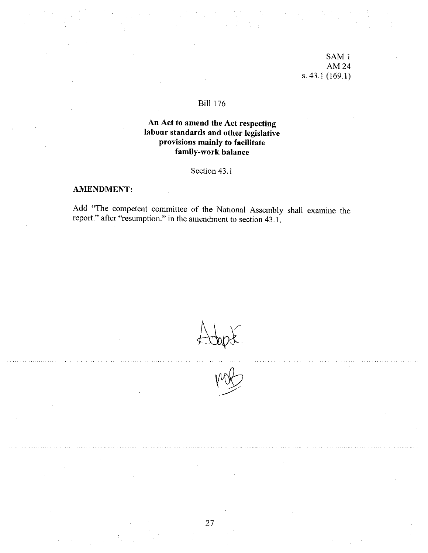SAM1 AM24 s.43.1 (169.1)

## **Bill 176**

# An Act to amend the Aet respecting labour standards and other legislative provisions mainly to facilitate faniily-work balance

Section 43.1

#### AMENDMENT:

Add "The competent committee of the National Assembly shall examine the report." after "resumption." in the amendment to section 43.1.

 $t$  topst

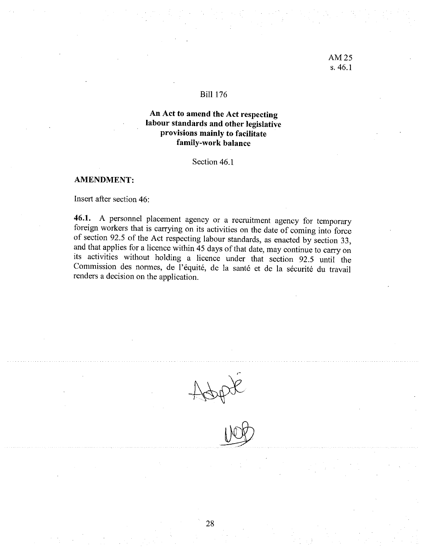#### BiIl 176

# An Act to amend the Act respecting labour standards and other legislative provisions mainly to facilitate family-work balance

Section 46.1

#### AMENDMENT:

Insert after section 46:

46.1. A personnel placement agency or a recruitment agency for temporary foreign workers that is carrying on its activities on the date of coming into force of section 92.5 of the Act respecting labour standards, as enacte and that applies for a licence within  $\overline{45}$  days of that date, may continue to carry on its activities without holding <sup>a</sup> licence under that section 92.5 until the Commission des normes, de l'équité, de la santé et de la sécurité du travail renders a decision on the application.

opt